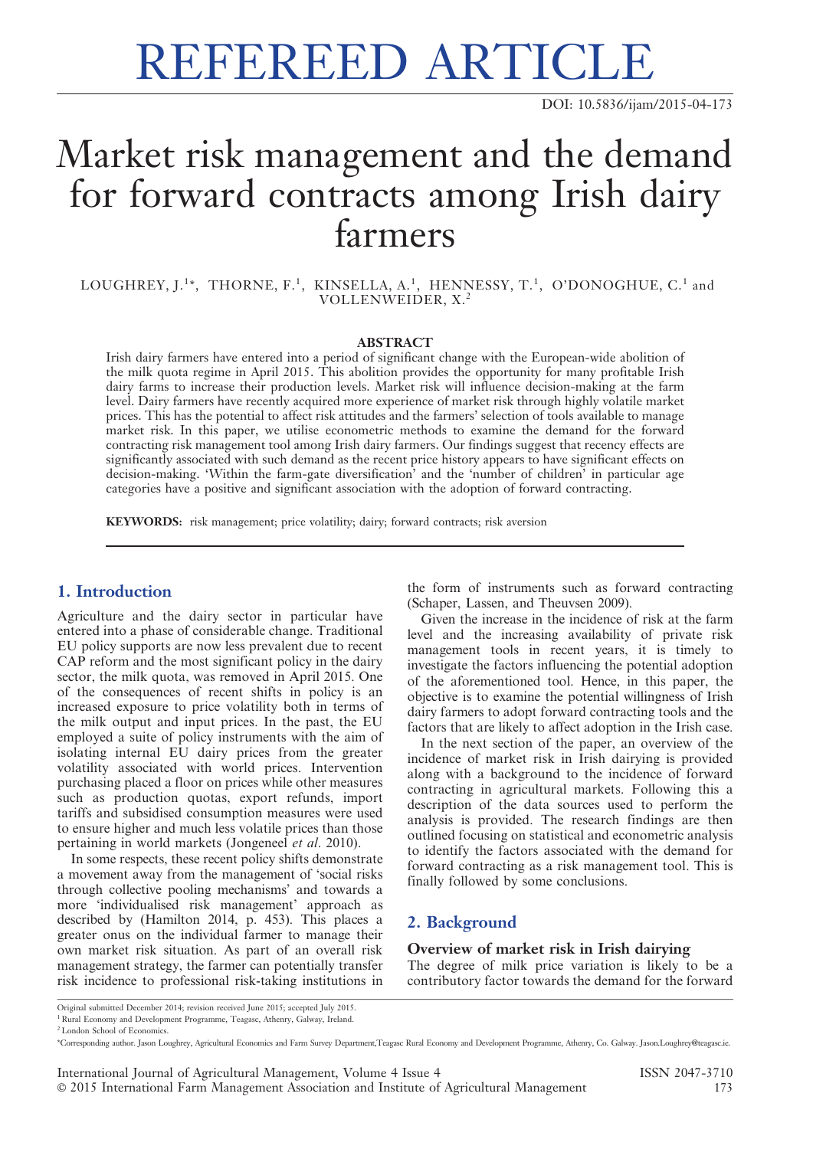# REFEREED ARTICLE

DOI: 10.5836/ijam/2015-04-173

## Market risk management and the demand for forward contracts among Irish dairy farmers

LOUGHREY, J. $^{1*}$ , THORNE, F. $^{1}$ , KINSELLA, A. $^{1}$ , HENNESSY, T. $^{1}$ , O'DONOGHUE, C. $^{1}$  and VOLLENWEIDER, X.<sup>2</sup>

#### ABSTRACT

Irish dairy farmers have entered into a period of significant change with the European-wide abolition of the milk quota regime in April 2015. This abolition provides the opportunity for many profitable Irish dairy farms to increase their production levels. Market risk will influence decision-making at the farm level. Dairy farmers have recently acquired more experience of market risk through highly volatile market prices. This has the potential to affect risk attitudes and the farmers' selection of tools available to manage market risk. In this paper, we utilise econometric methods to examine the demand for the forward contracting risk management tool among Irish dairy farmers. Our findings suggest that recency effects are significantly associated with such demand as the recent price history appears to have significant effects on decision-making. 'Within the farm-gate diversification' and the 'number of children' in particular age categories have a positive and significant association with the adoption of forward contracting.

KEYWORDS: risk management; price volatility; dairy; forward contracts; risk aversion

#### 1. Introduction

Agriculture and the dairy sector in particular have entered into a phase of considerable change. Traditional EU policy supports are now less prevalent due to recent CAP reform and the most significant policy in the dairy sector, the milk quota, was removed in April 2015. One of the consequences of recent shifts in policy is an increased exposure to price volatility both in terms of the milk output and input prices. In the past, the EU employed a suite of policy instruments with the aim of isolating internal EU dairy prices from the greater volatility associated with world prices. Intervention purchasing placed a floor on prices while other measures such as production quotas, export refunds, import tariffs and subsidised consumption measures were used to ensure higher and much less volatile prices than those pertaining in world markets (Jongeneel et al. 2010).

In some respects, these recent policy shifts demonstrate a movement away from the management of 'social risks through collective pooling mechanisms' and towards a more 'individualised risk management' approach as described by (Hamilton 2014, p. 453). This places a greater onus on the individual farmer to manage their own market risk situation. As part of an overall risk management strategy, the farmer can potentially transfer risk incidence to professional risk-taking institutions in

the form of instruments such as forward contracting (Schaper, Lassen, and Theuvsen 2009).

Given the increase in the incidence of risk at the farm level and the increasing availability of private risk management tools in recent years, it is timely to investigate the factors influencing the potential adoption of the aforementioned tool. Hence, in this paper, the objective is to examine the potential willingness of Irish dairy farmers to adopt forward contracting tools and the factors that are likely to affect adoption in the Irish case.

In the next section of the paper, an overview of the incidence of market risk in Irish dairying is provided along with a background to the incidence of forward contracting in agricultural markets. Following this a description of the data sources used to perform the analysis is provided. The research findings are then outlined focusing on statistical and econometric analysis to identify the factors associated with the demand for forward contracting as a risk management tool. This is finally followed by some conclusions.

#### 2. Background

#### Overview of market risk in Irish dairying

The degree of milk price variation is likely to be a contributory factor towards the demand for the forward

Original submitted December 2014; revision received June 2015; accepted July 2015. <sup>1</sup> Rural Economy and Development Programme, Teagasc, Athenry, Galway, Ireland.

<sup>&</sup>lt;sup>2</sup> London School of Economics.

<sup>\*</sup>Corresponding author. Jason Loughrey, Agricultural Economics and Farm Survey Department,Teagasc Rural Economy and Development Programme, Athenry, Co. Galway. Jason.Loughrey@teagasc.ie.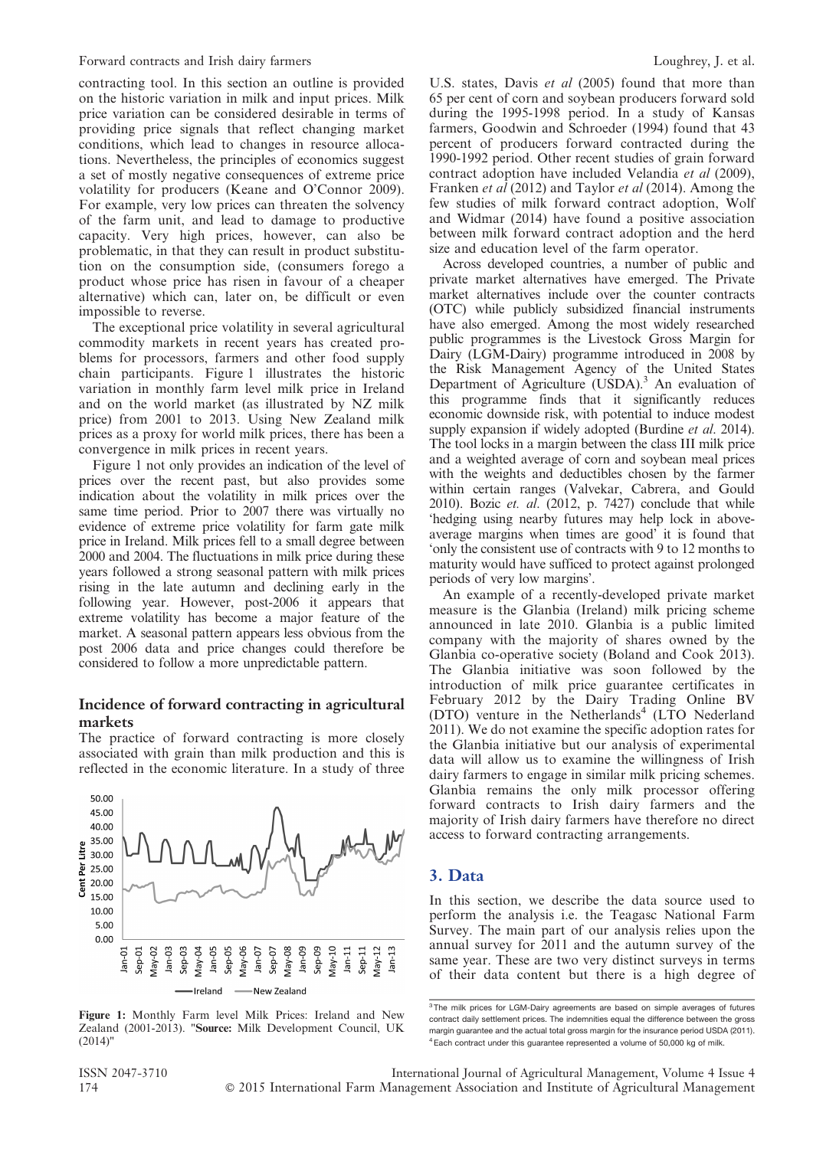contracting tool. In this section an outline is provided on the historic variation in milk and input prices. Milk price variation can be considered desirable in terms of providing price signals that reflect changing market conditions, which lead to changes in resource allocations. Nevertheless, the principles of economics suggest a set of mostly negative consequences of extreme price volatility for producers (Keane and O'Connor 2009). For example, very low prices can threaten the solvency of the farm unit, and lead to damage to productive capacity. Very high prices, however, can also be problematic, in that they can result in product substitution on the consumption side, (consumers forego a product whose price has risen in favour of a cheaper alternative) which can, later on, be difficult or even impossible to reverse.

The exceptional price volatility in several agricultural commodity markets in recent years has created problems for processors, farmers and other food supply chain participants. Figure 1 illustrates the historic variation in monthly farm level milk price in Ireland and on the world market (as illustrated by NZ milk price) from 2001 to 2013. Using New Zealand milk prices as a proxy for world milk prices, there has been a convergence in milk prices in recent years.

Figure 1 not only provides an indication of the level of prices over the recent past, but also provides some indication about the volatility in milk prices over the same time period. Prior to 2007 there was virtually no evidence of extreme price volatility for farm gate milk price in Ireland. Milk prices fell to a small degree between 2000 and 2004. The fluctuations in milk price during these years followed a strong seasonal pattern with milk prices rising in the late autumn and declining early in the following year. However, post-2006 it appears that extreme volatility has become a major feature of the market. A seasonal pattern appears less obvious from the post 2006 data and price changes could therefore be considered to follow a more unpredictable pattern.

#### Incidence of forward contracting in agricultural markets

The practice of forward contracting is more closely associated with grain than milk production and this is reflected in the economic literature. In a study of three



Figure 1: Monthly Farm level Milk Prices: Ireland and New Zealand (2001-2013). "Source: Milk Development Council, UK (2014)"

U.S. states, Davis et al (2005) found that more than 65 per cent of corn and soybean producers forward sold during the 1995-1998 period. In a study of Kansas farmers, Goodwin and Schroeder (1994) found that 43 percent of producers forward contracted during the 1990-1992 period. Other recent studies of grain forward contract adoption have included Velandia et al (2009), Franken et al (2012) and Taylor et al (2014). Among the few studies of milk forward contract adoption, Wolf and Widmar (2014) have found a positive association between milk forward contract adoption and the herd size and education level of the farm operator.

Across developed countries, a number of public and private market alternatives have emerged. The Private market alternatives include over the counter contracts (OTC) while publicly subsidized financial instruments have also emerged. Among the most widely researched public programmes is the Livestock Gross Margin for Dairy (LGM-Dairy) programme introduced in 2008 by the Risk Management Agency of the United States Department of Agriculture (USDA).<sup>3</sup> An evaluation of this programme finds that it significantly reduces economic downside risk, with potential to induce modest supply expansion if widely adopted (Burdine *et al.* 2014). The tool locks in a margin between the class III milk price and a weighted average of corn and soybean meal prices with the weights and deductibles chosen by the farmer within certain ranges (Valvekar, Cabrera, and Gould 2010). Bozic  $et.$   $al.$  (2012, p. 7427) conclude that while 'hedging using nearby futures may help lock in aboveaverage margins when times are good' it is found that 'only the consistent use of contracts with 9 to 12 months to maturity would have sufficed to protect against prolonged periods of very low margins'.

An example of a recently-developed private market measure is the Glanbia (Ireland) milk pricing scheme announced in late 2010. Glanbia is a public limited company with the majority of shares owned by the Glanbia co-operative society (Boland and Cook 2013). The Glanbia initiative was soon followed by the introduction of milk price guarantee certificates in February 2012 by the Dairy Trading Online BV (DTO) venture in the Netherlands<sup>4</sup> (LTO Nederland 2011). We do not examine the specific adoption rates for the Glanbia initiative but our analysis of experimental data will allow us to examine the willingness of Irish dairy farmers to engage in similar milk pricing schemes. Glanbia remains the only milk processor offering forward contracts to Irish dairy farmers and the majority of Irish dairy farmers have therefore no direct access to forward contracting arrangements.

#### 3. Data

In this section, we describe the data source used to perform the analysis i.e. the Teagasc National Farm Survey. The main part of our analysis relies upon the annual survey for 2011 and the autumn survey of the same year. These are two very distinct surveys in terms of their data content but there is a high degree of

ISSN 2047-3710 International Journal of Agricultural Management, Volume 4 Issue 4 174 **C** 2015 International Farm Management Association and Institute of Agricultural Management

<sup>&</sup>lt;sup>3</sup> The milk prices for LGM-Dairy agreements are based on simple averages of futures contract daily settlement prices. The indemnities equal the difference between the gross margin guarantee and the actual total gross margin for the insurance period USDA (2011).  $4$  Each contract under this guarantee represented a volume of 50,000 kg of milk.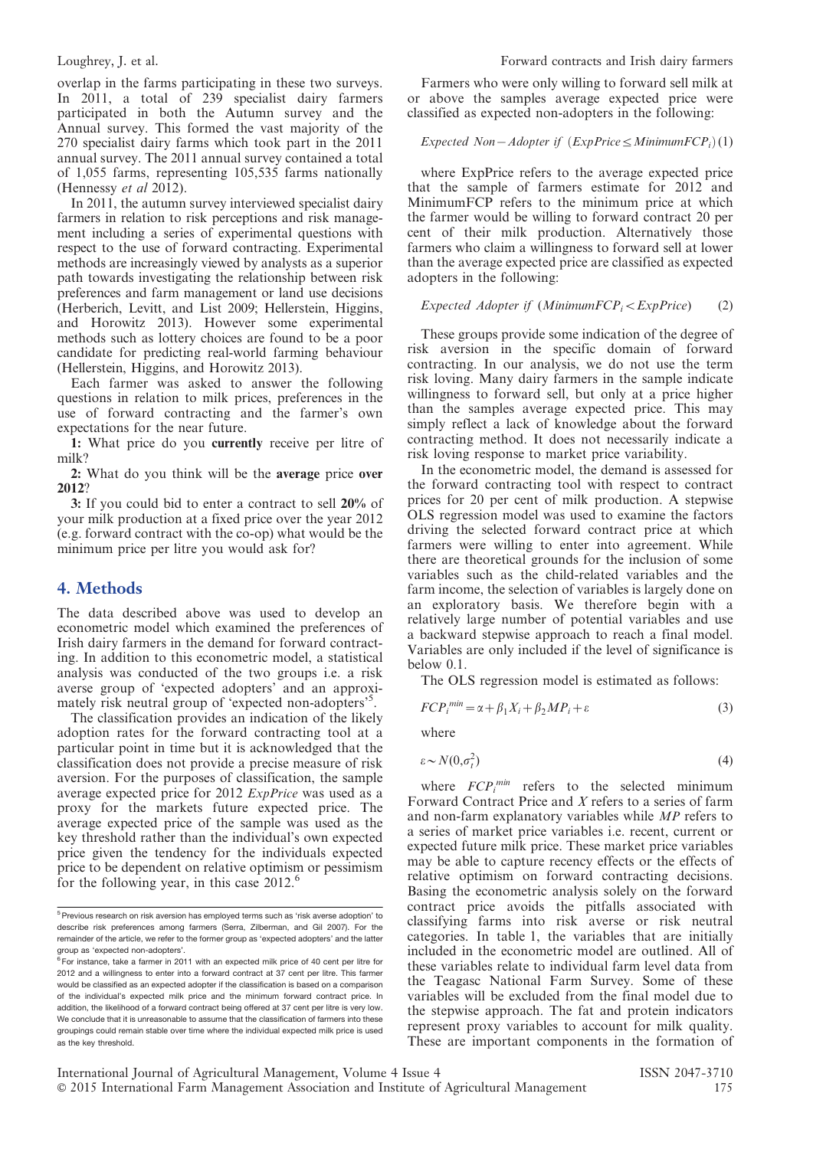overlap in the farms participating in these two surveys. In 2011, a total of 239 specialist dairy farmers participated in both the Autumn survey and the Annual survey. This formed the vast majority of the 270 specialist dairy farms which took part in the 2011 annual survey. The 2011 annual survey contained a total of 1,055 farms, representing 105,535 farms nationally (Hennessy *et al* 2012).

In 2011, the autumn survey interviewed specialist dairy farmers in relation to risk perceptions and risk management including a series of experimental questions with respect to the use of forward contracting. Experimental methods are increasingly viewed by analysts as a superior path towards investigating the relationship between risk preferences and farm management or land use decisions (Herberich, Levitt, and List 2009; Hellerstein, Higgins, and Horowitz 2013). However some experimental methods such as lottery choices are found to be a poor candidate for predicting real-world farming behaviour (Hellerstein, Higgins, and Horowitz 2013).

Each farmer was asked to answer the following questions in relation to milk prices, preferences in the use of forward contracting and the farmer's own expectations for the near future.

1: What price do you currently receive per litre of milk?

2: What do you think will be the average price over 2012?

3: If you could bid to enter a contract to sell 20% of your milk production at a fixed price over the year 2012 (e.g. forward contract with the co-op) what would be the minimum price per litre you would ask for?

#### 4. Methods

The data described above was used to develop an econometric model which examined the preferences of Irish dairy farmers in the demand for forward contracting. In addition to this econometric model, a statistical analysis was conducted of the two groups i.e. a risk averse group of 'expected adopters' and an approximately risk neutral group of 'expected non-adopters'<sup>5</sup> .

The classification provides an indication of the likely adoption rates for the forward contracting tool at a particular point in time but it is acknowledged that the classification does not provide a precise measure of risk aversion. For the purposes of classification, the sample average expected price for 2012 ExpPrice was used as a proxy for the markets future expected price. The average expected price of the sample was used as the key threshold rather than the individual's own expected price given the tendency for the individuals expected price to be dependent on relative optimism or pessimism for the following year, in this case  $2012$ .<sup>6</sup>

Farmers who were only willing to forward sell milk at or above the samples average expected price were classified as expected non-adopters in the following:

#### Expected Non-Adopter if  $(EXpPrice \leq MinimumFCP_i)(1)$

where ExpPrice refers to the average expected price that the sample of farmers estimate for 2012 and MinimumFCP refers to the minimum price at which the farmer would be willing to forward contract 20 per cent of their milk production. Alternatively those farmers who claim a willingness to forward sell at lower than the average expected price are classified as expected adopters in the following:

#### Expected Adopter if  $(Minimum FCP_i \leq ExpPrice)$  (2)

These groups provide some indication of the degree of risk aversion in the specific domain of forward contracting. In our analysis, we do not use the term risk loving. Many dairy farmers in the sample indicate willingness to forward sell, but only at a price higher than the samples average expected price. This may simply reflect a lack of knowledge about the forward contracting method. It does not necessarily indicate a risk loving response to market price variability.

In the econometric model, the demand is assessed for the forward contracting tool with respect to contract prices for 20 per cent of milk production. A stepwise OLS regression model was used to examine the factors driving the selected forward contract price at which farmers were willing to enter into agreement. While there are theoretical grounds for the inclusion of some variables such as the child-related variables and the farm income, the selection of variables is largely done on an exploratory basis. We therefore begin with a relatively large number of potential variables and use a backward stepwise approach to reach a final model. Variables are only included if the level of significance is below 0.1.

The OLS regression model is estimated as follows:

$$
FCP_i^{min} = \alpha + \beta_1 X_i + \beta_2 MP_i + \varepsilon \tag{3}
$$

where

$$
\varepsilon \sim N(0, \sigma_t^2) \tag{4}
$$

where  $FCP_i^{min}$  refers to the selected minimum Forward Contract Price and X refers to a series of farm and non-farm explanatory variables while MP refers to a series of market price variables i.e. recent, current or expected future milk price. These market price variables may be able to capture recency effects or the effects of relative optimism on forward contracting decisions. Basing the econometric analysis solely on the forward contract price avoids the pitfalls associated with classifying farms into risk averse or risk neutral categories. In table 1, the variables that are initially included in the econometric model are outlined. All of these variables relate to individual farm level data from the Teagasc National Farm Survey. Some of these variables will be excluded from the final model due to the stepwise approach. The fat and protein indicators represent proxy variables to account for milk quality. These are important components in the formation of

<sup>&</sup>lt;sup>5</sup> Previous research on risk aversion has employed terms such as 'risk averse adoption' to describe risk preferences among farmers (Serra, Zilberman, and Gil 2007). For the remainder of the article, we refer to the former group as 'expected adopters' and the latter group as 'expected non-adopters'.

 $6$  For instance, take a farmer in 2011 with an expected milk price of 40 cent per litre for 2012 and a willingness to enter into a forward contract at 37 cent per litre. This farmer would be classified as an expected adopter if the classification is based on a comparison of the individual's expected milk price and the minimum forward contract price. In addition, the likelihood of a forward contract being offered at 37 cent per litre is very low. We conclude that it is unreasonable to assume that the classification of farmers into these groupings could remain stable over time where the individual expected milk price is used as the key threshold.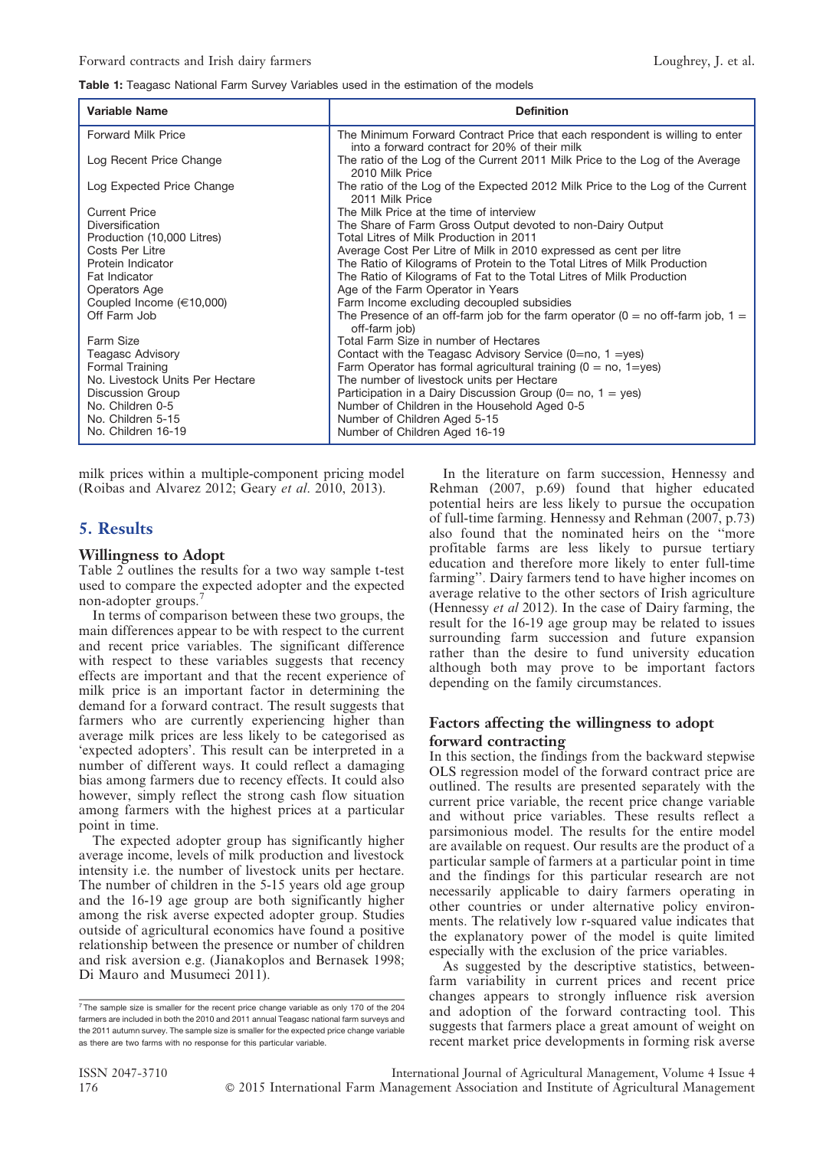#### Table 1: Teagasc National Farm Survey Variables used in the estimation of the models

| Variable Name                   | <b>Definition</b>                                                                                                            |
|---------------------------------|------------------------------------------------------------------------------------------------------------------------------|
| <b>Forward Milk Price</b>       | The Minimum Forward Contract Price that each respondent is willing to enter<br>into a forward contract for 20% of their milk |
| Log Recent Price Change         | The ratio of the Log of the Current 2011 Milk Price to the Log of the Average<br>2010 Milk Price                             |
| Log Expected Price Change       | The ratio of the Log of the Expected 2012 Milk Price to the Log of the Current<br>2011 Milk Price                            |
| <b>Current Price</b>            | The Milk Price at the time of interview                                                                                      |
| <b>Diversification</b>          | The Share of Farm Gross Output devoted to non-Dairy Output                                                                   |
| Production (10,000 Litres)      | Total Litres of Milk Production in 2011                                                                                      |
| Costs Per Litre                 | Average Cost Per Litre of Milk in 2010 expressed as cent per litre                                                           |
| Protein Indicator               | The Ratio of Kilograms of Protein to the Total Litres of Milk Production                                                     |
| <b>Fat Indicator</b>            | The Ratio of Kilograms of Fat to the Total Litres of Milk Production                                                         |
| Operators Age                   | Age of the Farm Operator in Years                                                                                            |
| Coupled Income $(\in 10,000)$   | Farm Income excluding decoupled subsidies                                                                                    |
| Off Farm Job                    | The Presence of an off-farm job for the farm operator ( $0 =$ no off-farm job, $1 =$<br>off-farm job)                        |
| Farm Size                       | Total Farm Size in number of Hectares                                                                                        |
| Teagasc Advisory                | Contact with the Teagasc Advisory Service $(0=$ no, 1 = yes)                                                                 |
| Formal Training                 | Farm Operator has formal agricultural training $(0 = no, 1 = yes)$                                                           |
| No. Livestock Units Per Hectare | The number of livestock units per Hectare                                                                                    |
| <b>Discussion Group</b>         | Participation in a Dairy Discussion Group ( $0=$ no, $1=$ yes)                                                               |
| No. Children 0-5                | Number of Children in the Household Aged 0-5                                                                                 |
| No. Children 5-15               | Number of Children Aged 5-15                                                                                                 |
| No. Children 16-19              | Number of Children Aged 16-19                                                                                                |

milk prices within a multiple-component pricing model (Roibas and Alvarez 2012; Geary et al. 2010, 2013).

## 5. Results

#### Willingness to Adopt

Table 2 outlines the results for a two way sample t-test used to compare the expected adopter and the expected non-adopter groups.<sup>7</sup>

In terms of comparison between these two groups, the main differences appear to be with respect to the current and recent price variables. The significant difference with respect to these variables suggests that recency effects are important and that the recent experience of milk price is an important factor in determining the demand for a forward contract. The result suggests that farmers who are currently experiencing higher than average milk prices are less likely to be categorised as 'expected adopters'. This result can be interpreted in a number of different ways. It could reflect a damaging bias among farmers due to recency effects. It could also however, simply reflect the strong cash flow situation among farmers with the highest prices at a particular point in time.

The expected adopter group has significantly higher average income, levels of milk production and livestock intensity i.e. the number of livestock units per hectare. The number of children in the 5-15 years old age group and the 16-19 age group are both significantly higher among the risk averse expected adopter group. Studies outside of agricultural economics have found a positive relationship between the presence or number of children and risk aversion e.g. (Jianakoplos and Bernasek 1998; Di Mauro and Musumeci 2011).

In the literature on farm succession, Hennessy and Rehman (2007, p.69) found that higher educated potential heirs are less likely to pursue the occupation of full-time farming. Hennessy and Rehman (2007, p.73) also found that the nominated heirs on the ''more profitable farms are less likely to pursue tertiary education and therefore more likely to enter full-time farming''. Dairy farmers tend to have higher incomes on average relative to the other sectors of Irish agriculture (Hennessy et al 2012). In the case of Dairy farming, the result for the 16-19 age group may be related to issues surrounding farm succession and future expansion rather than the desire to fund university education although both may prove to be important factors depending on the family circumstances.

#### Factors affecting the willingness to adopt forward contracting

In this section, the findings from the backward stepwise OLS regression model of the forward contract price are outlined. The results are presented separately with the current price variable, the recent price change variable and without price variables. These results reflect a parsimonious model. The results for the entire model are available on request. Our results are the product of a particular sample of farmers at a particular point in time and the findings for this particular research are not necessarily applicable to dairy farmers operating in other countries or under alternative policy environments. The relatively low r-squared value indicates that the explanatory power of the model is quite limited especially with the exclusion of the price variables.

As suggested by the descriptive statistics, betweenfarm variability in current prices and recent price changes appears to strongly influence risk aversion and adoption of the forward contracting tool. This suggests that farmers place a great amount of weight on recent market price developments in forming risk averse

 $7$  The sample size is smaller for the recent price change variable as only 170 of the 204 farmers are included in both the 2010 and 2011 annual Teagasc national farm surveys and the 2011 autumn survey. The sample size is smaller for the expected price change variable as there are two farms with no response for this particular variable.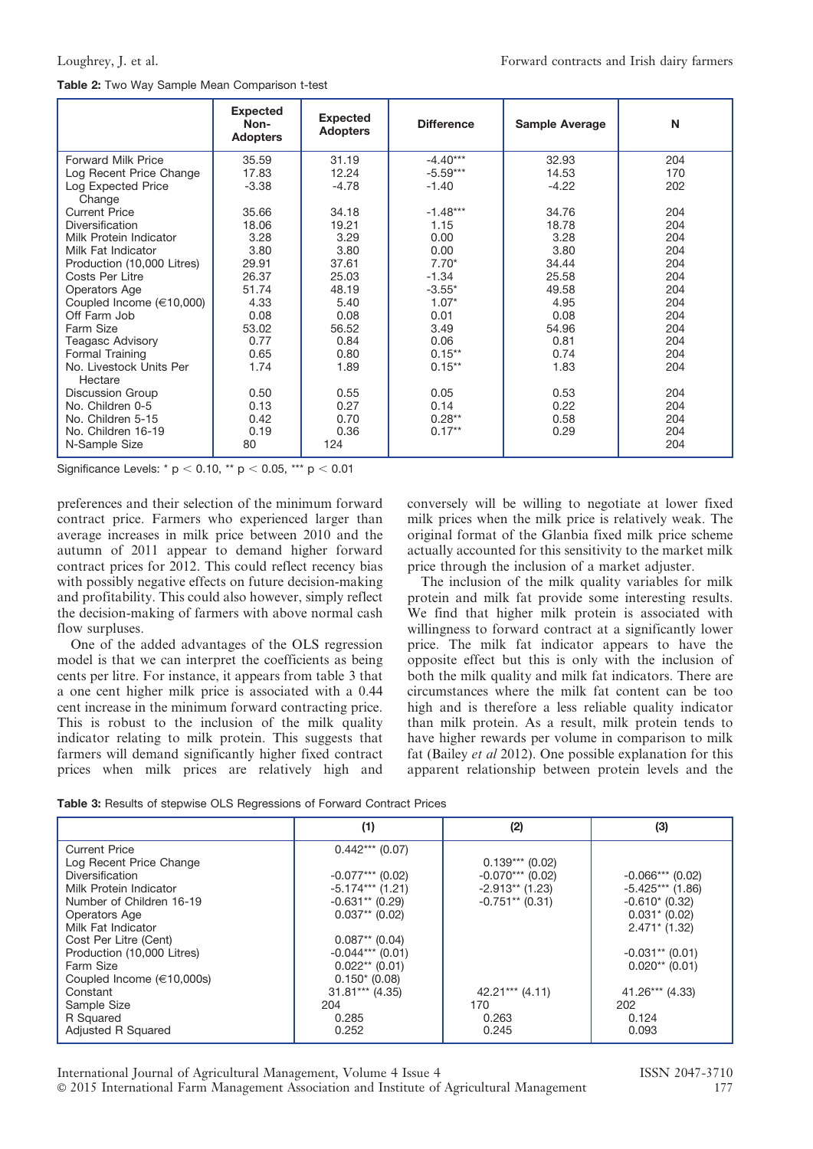|                                    | <b>Expected</b><br>Non-<br><b>Adopters</b> | <b>Expected</b><br><b>Adopters</b> | <b>Difference</b> | <b>Sample Average</b> | N   |
|------------------------------------|--------------------------------------------|------------------------------------|-------------------|-----------------------|-----|
| <b>Forward Milk Price</b>          | 35.59                                      | 31.19                              | $-4.40***$        | 32.93                 | 204 |
| Log Recent Price Change            | 17.83                                      | 12.24                              | $-5.59***$        | 14.53                 | 170 |
| Log Expected Price<br>Change       | $-3.38$                                    | $-4.78$                            | $-1.40$           | $-4.22$               | 202 |
| <b>Current Price</b>               | 35.66                                      | 34.18                              | $-1.48***$        | 34.76                 | 204 |
| Diversification                    | 18.06                                      | 19.21                              | 1.15              | 18.78                 | 204 |
| Milk Protein Indicator             | 3.28                                       | 3.29                               | 0.00              | 3.28                  | 204 |
| Milk Fat Indicator                 | 3.80                                       | 3.80                               | 0.00              | 3.80                  | 204 |
| Production (10,000 Litres)         | 29.91                                      | 37.61                              | $7.70*$           | 34.44                 | 204 |
| Costs Per Litre                    | 26.37                                      | 25.03                              | $-1.34$           | 25.58                 | 204 |
| Operators Age                      | 51.74                                      | 48.19                              | $-3.55*$          | 49.58                 | 204 |
| Coupled Income $(\in 10,000)$      | 4.33                                       | 5.40                               | $1.07*$           | 4.95                  | 204 |
| Off Farm Job                       | 0.08                                       | 0.08                               | 0.01              | 0.08                  | 204 |
| Farm Size                          | 53.02                                      | 56.52                              | 3.49              | 54.96                 | 204 |
| Teagasc Advisory                   | 0.77                                       | 0.84                               | 0.06              | 0.81                  | 204 |
| Formal Training                    | 0.65                                       | 0.80                               | $0.15***$         | 0.74                  | 204 |
| No. Livestock Units Per<br>Hectare | 1.74                                       | 1.89                               | $0.15***$         | 1.83                  | 204 |
| <b>Discussion Group</b>            | 0.50                                       | 0.55                               | 0.05              | 0.53                  | 204 |
| No. Children 0-5                   | 0.13                                       | 0.27                               | 0.14              | 0.22                  | 204 |
| No. Children 5-15                  | 0.42                                       | 0.70                               | $0.28**$          | 0.58                  | 204 |
| No. Children 16-19                 | 0.19                                       | 0.36                               | $0.17**$          | 0.29                  | 204 |
| N-Sample Size                      | 80                                         | 124                                |                   |                       | 204 |

Significance Levels: \*  $p < 0.10$ , \*\*  $p < 0.05$ , \*\*\*  $p < 0.01$ 

preferences and their selection of the minimum forward contract price. Farmers who experienced larger than average increases in milk price between 2010 and the autumn of 2011 appear to demand higher forward contract prices for 2012. This could reflect recency bias with possibly negative effects on future decision-making and profitability. This could also however, simply reflect the decision-making of farmers with above normal cash flow surpluses.

One of the added advantages of the OLS regression model is that we can interpret the coefficients as being cents per litre. For instance, it appears from table 3 that a one cent higher milk price is associated with a 0.44 cent increase in the minimum forward contracting price. This is robust to the inclusion of the milk quality indicator relating to milk protein. This suggests that farmers will demand significantly higher fixed contract prices when milk prices are relatively high and

conversely will be willing to negotiate at lower fixed milk prices when the milk price is relatively weak. The original format of the Glanbia fixed milk price scheme actually accounted for this sensitivity to the market milk price through the inclusion of a market adjuster.

The inclusion of the milk quality variables for milk protein and milk fat provide some interesting results. We find that higher milk protein is associated with willingness to forward contract at a significantly lower price. The milk fat indicator appears to have the opposite effect but this is only with the inclusion of both the milk quality and milk fat indicators. There are circumstances where the milk fat content can be too high and is therefore a less reliable quality indicator than milk protein. As a result, milk protein tends to have higher rewards per volume in comparison to milk fat (Bailey et al 2012). One possible explanation for this apparent relationship between protein levels and the

|  |  |  | <b>Table 3:</b> Results of stepwise OLS Regressions of Forward Contract Prices |
|--|--|--|--------------------------------------------------------------------------------|
|  |  |  |                                                                                |

|                                | (1)                | (2)                 | (3)                |
|--------------------------------|--------------------|---------------------|--------------------|
| <b>Current Price</b>           | $0.442***$ (0.07)  |                     |                    |
| Log Recent Price Change        |                    | $0.139***$ (0.02)   |                    |
| <b>Diversification</b>         | $-0.077***$ (0.02) | $-0.070***$ (0.02)  | $-0.066***$ (0.02) |
| Milk Protein Indicator         | $-5.174***$ (1.21) | $-2.913**$ (1.23)   | $-5.425***$ (1.86) |
| Number of Children 16-19       | $-0.631**$ (0.29)  | $-0.751**$ (0.31)   | $-0.610*(0.32)$    |
| Operators Age                  | $0.037**$ (0.02)   |                     | $0.031$ $(0.02)$   |
| Milk Fat Indicator             |                    |                     | $2.471*$ (1.32)    |
| Cost Per Litre (Cent)          | $0.087**$ (0.04)   |                     |                    |
| Production (10,000 Litres)     | $-0.044***$ (0.01) |                     | $-0.031**$ (0.01)  |
| Farm Size                      | $0.022**$ (0.01)   |                     | $0.020**$ (0.01)   |
| Coupled Income $(\in 10,000s)$ | $0.150*(0.08)$     |                     |                    |
| Constant                       | $31.81***$ (4.35)  | $42.21***$ $(4.11)$ | 41.26*** (4.33)    |
| Sample Size                    | 204                | 170                 | 202                |
| R Squared                      | 0.285              | 0.263               | 0.124              |
| Adjusted R Squared             | 0.252              | 0.245               | 0.093              |

International Journal of Agricultural Management, Volume 4 Issue 4 ISSN 2047-3710<br>© 2015 International Farm Management Association and Institute of Agricultural Management 177  $\odot$  2015 International Farm Management Association and Institute of Agricultural Management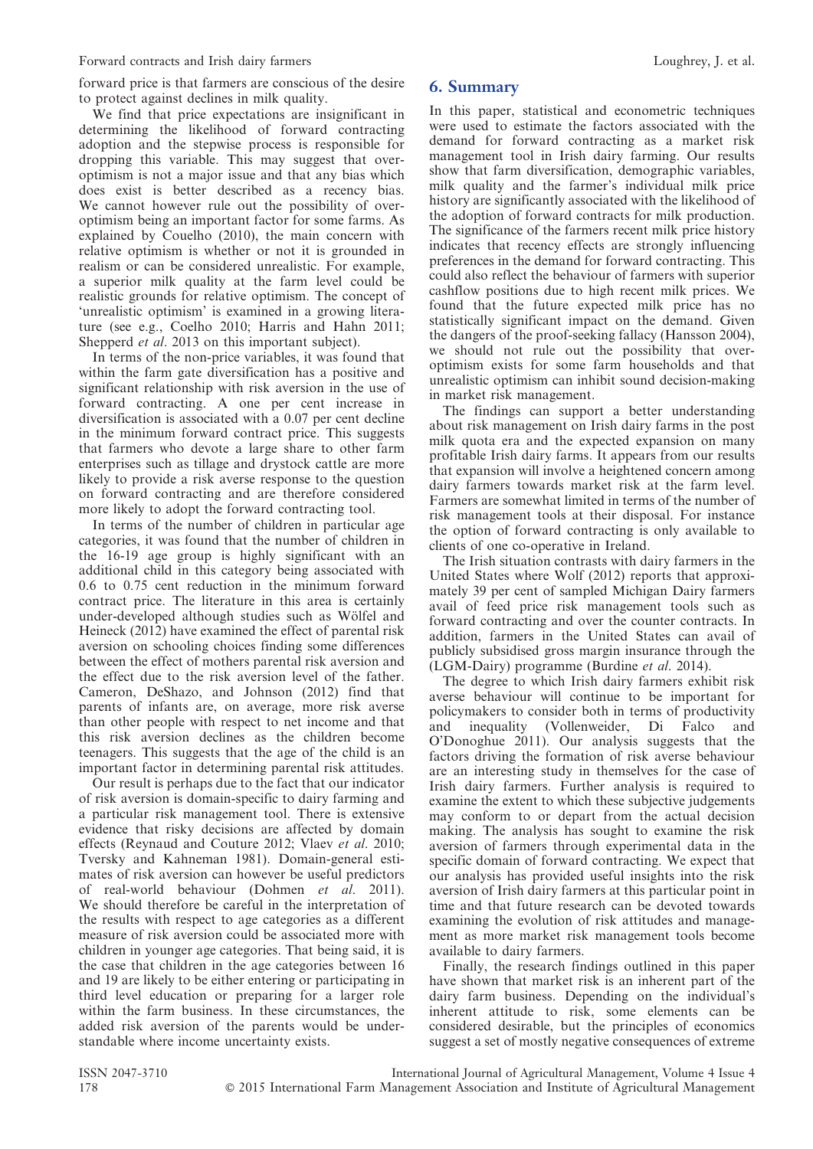forward price is that farmers are conscious of the desire to protect against declines in milk quality.

We find that price expectations are insignificant in determining the likelihood of forward contracting adoption and the stepwise process is responsible for dropping this variable. This may suggest that overoptimism is not a major issue and that any bias which does exist is better described as a recency bias. We cannot however rule out the possibility of overoptimism being an important factor for some farms. As explained by Couelho (2010), the main concern with relative optimism is whether or not it is grounded in realism or can be considered unrealistic. For example, a superior milk quality at the farm level could be realistic grounds for relative optimism. The concept of 'unrealistic optimism' is examined in a growing literature (see e.g., Coelho 2010; Harris and Hahn 2011; Shepperd *et al.* 2013 on this important subject).

In terms of the non-price variables, it was found that within the farm gate diversification has a positive and significant relationship with risk aversion in the use of forward contracting. A one per cent increase in diversification is associated with a 0.07 per cent decline in the minimum forward contract price. This suggests that farmers who devote a large share to other farm enterprises such as tillage and drystock cattle are more likely to provide a risk averse response to the question on forward contracting and are therefore considered more likely to adopt the forward contracting tool.

In terms of the number of children in particular age categories, it was found that the number of children in the 16-19 age group is highly significant with an additional child in this category being associated with 0.6 to 0.75 cent reduction in the minimum forward contract price. The literature in this area is certainly under-developed although studies such as Wölfel and Heineck (2012) have examined the effect of parental risk aversion on schooling choices finding some differences between the effect of mothers parental risk aversion and the effect due to the risk aversion level of the father. Cameron, DeShazo, and Johnson (2012) find that parents of infants are, on average, more risk averse than other people with respect to net income and that this risk aversion declines as the children become teenagers. This suggests that the age of the child is an important factor in determining parental risk attitudes.

Our result is perhaps due to the fact that our indicator of risk aversion is domain-specific to dairy farming and a particular risk management tool. There is extensive evidence that risky decisions are affected by domain effects (Reynaud and Couture 2012; Vlaev et al. 2010; Tversky and Kahneman 1981). Domain-general estimates of risk aversion can however be useful predictors of real-world behaviour (Dohmen et al. 2011). We should therefore be careful in the interpretation of the results with respect to age categories as a different measure of risk aversion could be associated more with children in younger age categories. That being said, it is the case that children in the age categories between 16 and 19 are likely to be either entering or participating in third level education or preparing for a larger role within the farm business. In these circumstances, the added risk aversion of the parents would be understandable where income uncertainty exists.

#### 6. Summary

In this paper, statistical and econometric techniques were used to estimate the factors associated with the demand for forward contracting as a market risk management tool in Irish dairy farming. Our results show that farm diversification, demographic variables, milk quality and the farmer's individual milk price history are significantly associated with the likelihood of the adoption of forward contracts for milk production. The significance of the farmers recent milk price history indicates that recency effects are strongly influencing preferences in the demand for forward contracting. This could also reflect the behaviour of farmers with superior cashflow positions due to high recent milk prices. We found that the future expected milk price has no statistically significant impact on the demand. Given the dangers of the proof-seeking fallacy (Hansson 2004), we should not rule out the possibility that overoptimism exists for some farm households and that unrealistic optimism can inhibit sound decision-making in market risk management.

The findings can support a better understanding about risk management on Irish dairy farms in the post milk quota era and the expected expansion on many profitable Irish dairy farms. It appears from our results that expansion will involve a heightened concern among dairy farmers towards market risk at the farm level. Farmers are somewhat limited in terms of the number of risk management tools at their disposal. For instance the option of forward contracting is only available to clients of one co-operative in Ireland.

The Irish situation contrasts with dairy farmers in the United States where Wolf (2012) reports that approximately 39 per cent of sampled Michigan Dairy farmers avail of feed price risk management tools such as forward contracting and over the counter contracts. In addition, farmers in the United States can avail of publicly subsidised gross margin insurance through the (LGM-Dairy) programme (Burdine et al. 2014).

The degree to which Irish dairy farmers exhibit risk averse behaviour will continue to be important for policymakers to consider both in terms of productivity and inequality (Vollenweider, Di Falco and O'Donoghue 2011). Our analysis suggests that the factors driving the formation of risk averse behaviour are an interesting study in themselves for the case of Irish dairy farmers. Further analysis is required to examine the extent to which these subjective judgements may conform to or depart from the actual decision making. The analysis has sought to examine the risk aversion of farmers through experimental data in the specific domain of forward contracting. We expect that our analysis has provided useful insights into the risk aversion of Irish dairy farmers at this particular point in time and that future research can be devoted towards examining the evolution of risk attitudes and management as more market risk management tools become available to dairy farmers.

Finally, the research findings outlined in this paper have shown that market risk is an inherent part of the dairy farm business. Depending on the individual's inherent attitude to risk, some elements can be considered desirable, but the principles of economics suggest a set of mostly negative consequences of extreme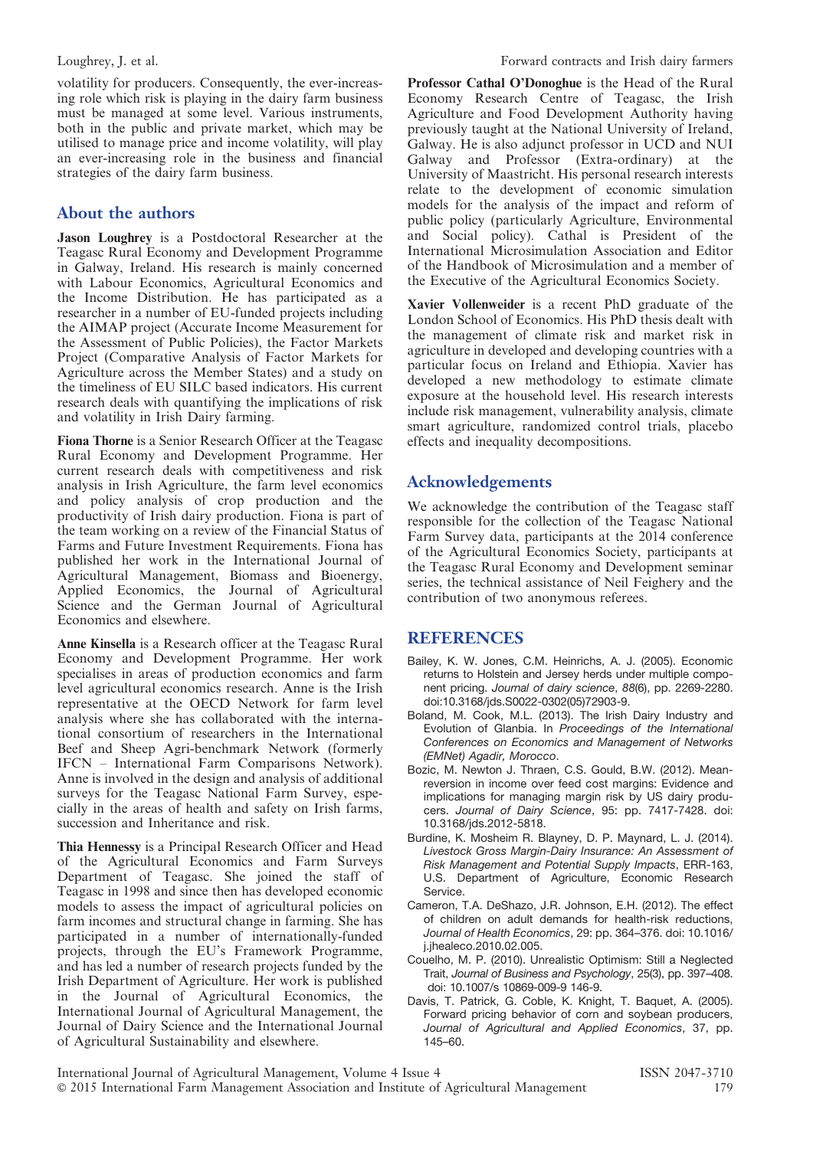volatility for producers. Consequently, the ever-increasing role which risk is playing in the dairy farm business must be managed at some level. Various instruments, both in the public and private market, which may be utilised to manage price and income volatility, will play an ever-increasing role in the business and financial strategies of the dairy farm business.

## About the authors

Jason Loughrey is a Postdoctoral Researcher at the Teagasc Rural Economy and Development Programme in Galway, Ireland. His research is mainly concerned with Labour Economics, Agricultural Economics and the Income Distribution. He has participated as a researcher in a number of EU-funded projects including the AIMAP project (Accurate Income Measurement for the Assessment of Public Policies), the Factor Markets Project (Comparative Analysis of Factor Markets for Agriculture across the Member States) and a study on the timeliness of EU SILC based indicators. His current research deals with quantifying the implications of risk and volatility in Irish Dairy farming.

Fiona Thorne is a Senior Research Officer at the Teagasc Rural Economy and Development Programme. Her current research deals with competitiveness and risk analysis in Irish Agriculture, the farm level economics and policy analysis of crop production and the productivity of Irish dairy production. Fiona is part of the team working on a review of the Financial Status of Farms and Future Investment Requirements. Fiona has published her work in the International Journal of Agricultural Management, Biomass and Bioenergy, Applied Economics, the Journal of Agricultural Science and the German Journal of Agricultural Economics and elsewhere.

Anne Kinsella is a Research officer at the Teagasc Rural Economy and Development Programme. Her work specialises in areas of production economics and farm level agricultural economics research. Anne is the Irish representative at the OECD Network for farm level analysis where she has collaborated with the international consortium of researchers in the International Beef and Sheep Agri-benchmark Network (formerly IFCN – International Farm Comparisons Network). Anne is involved in the design and analysis of additional surveys for the Teagasc National Farm Survey, especially in the areas of health and safety on Irish farms, succession and Inheritance and risk.

Thia Hennessy is a Principal Research Officer and Head of the Agricultural Economics and Farm Surveys Department of Teagasc. She joined the staff of Teagasc in 1998 and since then has developed economic models to assess the impact of agricultural policies on farm incomes and structural change in farming. She has participated in a number of internationally-funded projects, through the EU's Framework Programme, and has led a number of research projects funded by the Irish Department of Agriculture. Her work is published in the Journal of Agricultural Economics, the International Journal of Agricultural Management, the Journal of Dairy Science and the International Journal of Agricultural Sustainability and elsewhere.

Professor Cathal O'Donoghue is the Head of the Rural Economy Research Centre of Teagasc, the Irish Agriculture and Food Development Authority having previously taught at the National University of Ireland, Galway. He is also adjunct professor in UCD and NUI Galway and Professor (Extra-ordinary) at the University of Maastricht. His personal research interests relate to the development of economic simulation models for the analysis of the impact and reform of public policy (particularly Agriculture, Environmental and Social policy). Cathal is President of the International Microsimulation Association and Editor of the Handbook of Microsimulation and a member of the Executive of the Agricultural Economics Society.

Xavier Vollenweider is a recent PhD graduate of the London School of Economics. His PhD thesis dealt with the management of climate risk and market risk in agriculture in developed and developing countries with a particular focus on Ireland and Ethiopia. Xavier has developed a new methodology to estimate climate exposure at the household level. His research interests include risk management, vulnerability analysis, climate smart agriculture, randomized control trials, placebo effects and inequality decompositions.

## Acknowledgements

We acknowledge the contribution of the Teagasc staff responsible for the collection of the Teagasc National Farm Survey data, participants at the 2014 conference of the Agricultural Economics Society, participants at the Teagasc Rural Economy and Development seminar series, the technical assistance of Neil Feighery and the contribution of two anonymous referees.

#### **REFERENCES**

- Bailey, K. W. Jones, C.M. Heinrichs, A. J. (2005). Economic returns to Holstein and Jersey herds under multiple component pricing. Journal of dairy science, 88(6), pp. 2269-2280. doi:10.3168/jds.S0022-0302(05)72903-9.
- Boland, M. Cook, M.L. (2013). The Irish Dairy Industry and Evolution of Glanbia. In Proceedings of the International Conferences on Economics and Management of Networks (EMNet) Agadir, Morocco.
- Bozic, M. Newton J. Thraen, C.S. Gould, B.W. (2012). Meanreversion in income over feed cost margins: Evidence and implications for managing margin risk by US dairy producers. Journal of Dairy Science, 95: pp. 7417-7428. doi: 10.3168/jds.2012-5818.
- Burdine, K. Mosheim R. Blayney, D. P. Maynard, L. J. (2014). Livestock Gross Margin-Dairy Insurance: An Assessment of Risk Management and Potential Supply Impacts, ERR-163, U.S. Department of Agriculture, Economic Research Service.
- Cameron, T.A. DeShazo, J.R. Johnson, E.H. (2012). The effect of children on adult demands for health-risk reductions, Journal of Health Economics, 29: pp. 364–376. doi: 10.1016/ j.jhealeco.2010.02.005.
- Couelho, M. P. (2010). Unrealistic Optimism: Still a Neglected Trait, Journal of Business and Psychology, 25(3), pp. 397–408. doi: 10.1007/s 10869-009-9 146-9.
- Davis, T. Patrick, G. Coble, K. Knight, T. Baquet, A. (2005). Forward pricing behavior of corn and soybean producers, Journal of Agricultural and Applied Economics, 37, pp. 145–60.